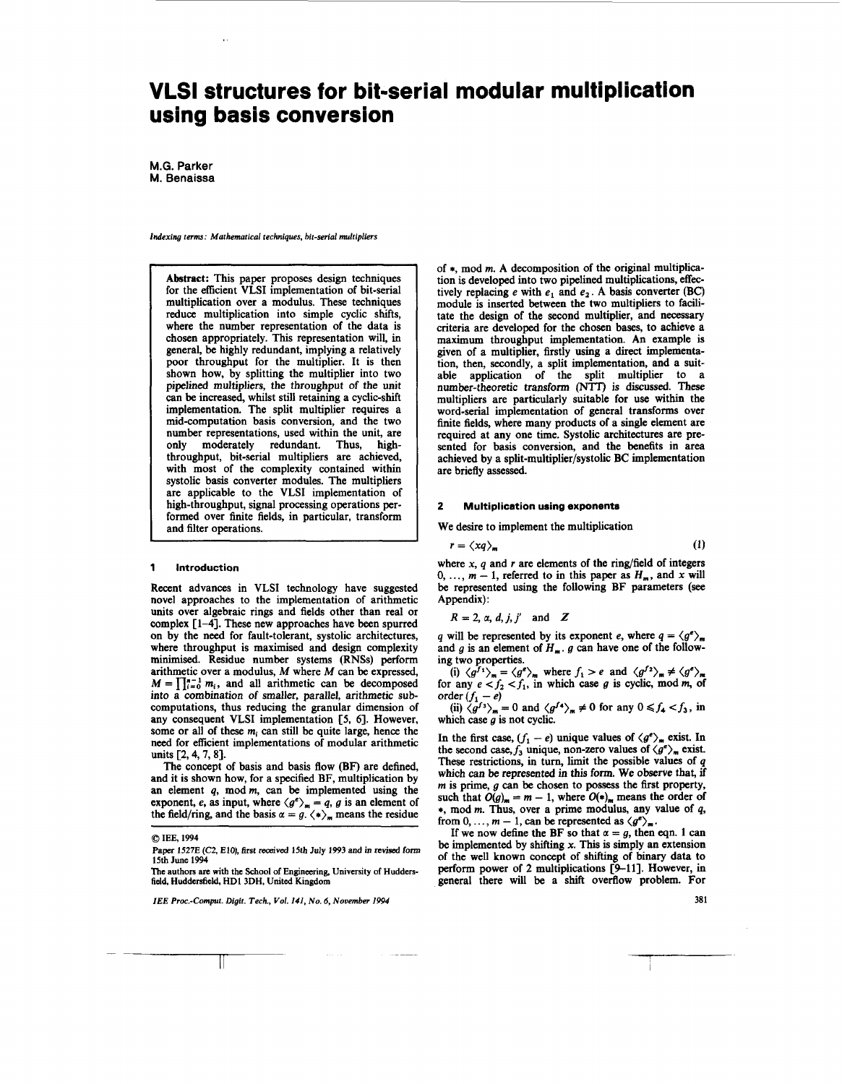# **VLSI structures for bit-serial modular multiplication using basis conversion**

**M.G. Parker M. Benaissa** 

*Indexing term: Mathematical techniques, bit-serial multipliers* 

Abstract: This paper proposes design techniques for the efficient **VLSI** implementation of bit-serial multiplication over a modulus. These techniques reduce multiplication into simple cyclic shifts, where the number representation of the data is chosen appropriately. This representation will, in general, be highly redundant, implying a relatively poor throughput for the multiplier. It is then shown how, by splitting the multiplier into two pipelined multipliers, the throughput of the unit can be increased, whilst still retaining a cyclic-shift implementation. The split multiplier requires a mid-computation basis conversion, and the two number representations, used within the unit, are only moderately redundant. Thus, highthroughput, bit-serial multipliers are achieved, with most of the complexity contained within systolic basis converter modules. The multipliers are applicable to the **VLSI** implementation of high-throughput, signal processing operations performed over finite fields, in particular, transform and filter operations.

### **1 Introduction**

Recent advances in **VLSI** technology have suggested novel approaches to the implementation of arithmetic units over algebraic rings and fields other than real or complex **[l-41.** These new approaches have been spurred **on** by the need for fault-tolerant, systolic architectures, where throughput is maximised and design complexity minimised. Residue number systems **(RNSs)** perform arithmetic over a modulus, *M* where *M* can be expressed,  $M = \prod_{i=0}^{n-1} m_i$ , and all arithmetic can be decomposed into a combination of smaller, parallel, arithmetic **sub**computations, thus reducing the granular dimension of any consequent **VLSI** implementation **[S, 61.** However, some or all of these *mi* can still be quite large, hence the need for efficient implementations of modular arithmetic units [2, 4, 7, 8].

The concept of basis and basis flow **(BF)** are defined, and it is shown how, for a specified **BF,** multiplication by an element *q*, mod *m*, can be implemented using the exponent, e, as input, where  $\langle g^e \rangle_m = q$ , g is an element of the field/ring, and the basis  $\alpha = g$ .  $\langle * \rangle_m$  means the residue

*0* **IEE, 1994** 

 $\mathbb{I}$ 

of \*, mod **m.** A decomposition of the original multiplication is developed into two pipelined multiplications, effectively replacing e with  $e_1$  and  $e_2$ . A basis converter **(BC)** module is inserted between the two multipliers to facilitate the design of the second multiplier, and necessary criteria are developed for the chosen bases, to achieve a maximum throughput implementation. An example is given of a multiplier, firstly using a direct implementa**tion,** then, secondly, a split implementation, and a suitable application of the split multiplier to a number-theoretic transform (NTT) is discussed. These multipliers are particularly suitable for **use** within the word-serial implementation of general transforms over finite fields, where many products of a single element are required at any one time. Systolic architectures are presented for basis conversion, and the benefits in area achieved by a **split-multiplier/systolic BC** implementation are briefly assessed.

### **2 Multiplication using exponents**

We desire to implement the multiplication

$$
r = \langle xq \rangle_m \tag{1}
$$

where  $x$ ,  $q$  and  $r$  are elements of the ring/field of integers 0, ...,  $m - 1$ , referred to in this paper as  $H_m$ , and x will be represented using the following **BF** parameters *(see*  Appendix) :

$$
R = 2, \, \alpha, \, d, \, j, \, j' \quad \text{and} \quad Z
$$

*q* will be represented by its exponent *e*, where  $q = \langle g^e \rangle_m$ and  $g$  is an element of  $H_m$ .  $g$  can have one of the following two properties.

(i)  $\langle g^{f_1} \rangle_m = \langle g^e \rangle_m$  where  $f_1 > e$  and  $\langle g^{f_2} \rangle_m \neq \langle g^e \rangle_m$ <br>for any  $e < f_2 < f_1$ , in which case *g* is cyclic, mod *m*, of for any  $e < f_2$ <br>order  $(f_1 - e)$ 

(ii)  $\langle g^{f_3} \rangle_m = 0$  and  $\langle g^{f_4} \rangle_m \neq 0$  for any  $0 \le f_4 < f_3$ , in <br>(ii)  $\langle g^{f_3} \rangle_m = 0$  and  $\langle g^{f_4} \rangle_m \neq 0$  for any  $0 \le f_4 < f_3$ , in which case  $g$  is not cyclic.

In the first case,  $(f_1 - e)$  unique values of  $\langle g^e \rangle_m$  exist. In the second case,  $f_3$  unique, non-zero values of  $\langle g^e \rangle_m$  exist. These restrictions, in turn, limit the possible values of *q*  which can be represented in this form. We observe that, if **m** is prime, g can be chosen to possess the first property, such that  $O(g)_{m} = m - 1$ , where  $O(*)_{m}$  means the order of \*, mod **m.** Thus, over a prime modulus, any value of *q,*  from  $0, \ldots, m-1$ , can be represented as  $\langle g^e \rangle_m$ .

If we now define the BF so that  $\alpha = g$ , then eqn. 1 can be implemented by shifting **x.** This is simply an extension of the well known concept of shifting of binary data to perform power of 2 multiplications [9-11]. However, in general there will be a shift overflow problem. For

**381** 

Paper 1527E (C2, E10), first received 15th July 1993 and in revised form **15th June 1994** 

**The authors arc with the School of Engineering, University of Huddersfield, Huddersfield, HDl3DH, United Kingdom** 

*IEE Proc.-Comput. Digit. Tech., Vol. 141, No. 6, November 1994*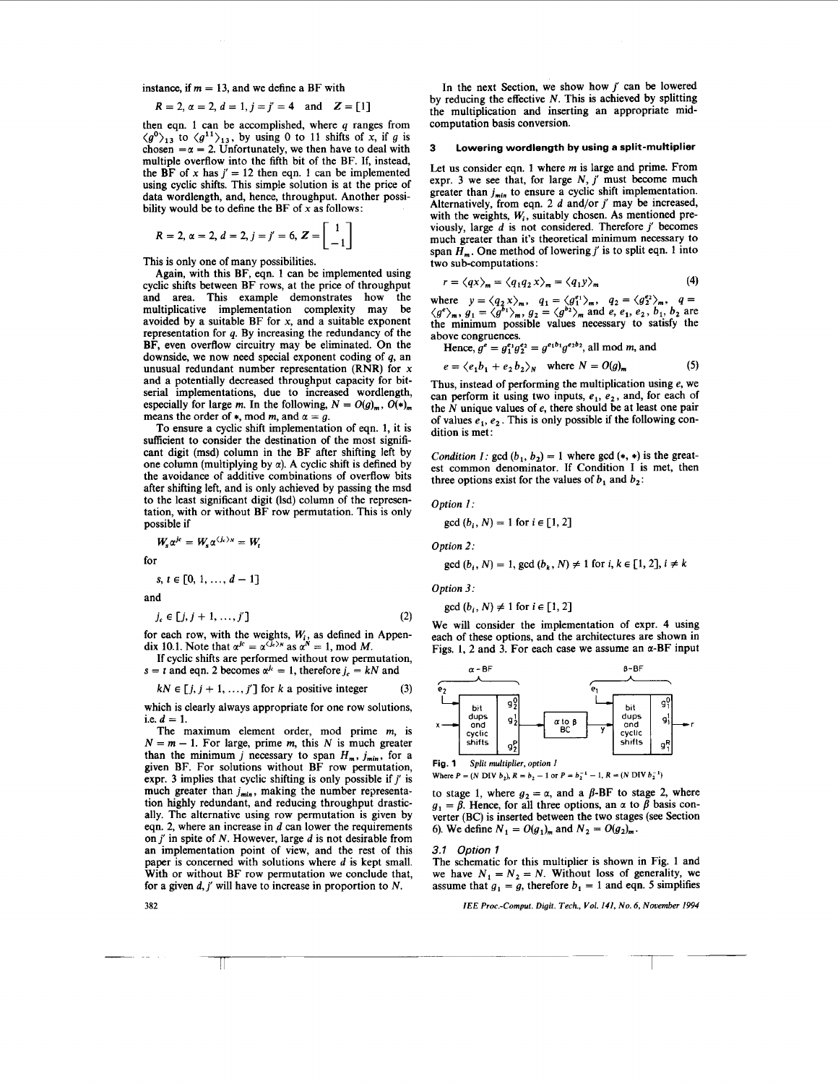instance, if  $m = 13$ , and we define a BF with

$$
R = 2, \alpha = 2, d = 1, j = j' = 4
$$
 and  $Z = [1]$ 

then eqn. *1* can be accomplished, where *q* ranges from  $\langle g^0 \rangle_{13}$  to  $\langle g^{11} \rangle_{13}$ , by using 0 to 11 shifts of *x*, if *g* is chosen  $=\alpha = 2$ . Unfortunately, we then have to deal with multiple overflow into the fifth bit of the BF. If, instead, the BF of x has  $j' = 12$  then eqn. 1 can be implemented using cyclic shifts. This simple solution is at the price of data wordlength, and, hence, throughput. Another possibility would be to define the BF of **x** as follows:

$$
R = 2, \, \alpha = 2, \, d = 2, \, j = j' = 6, \, Z = \begin{bmatrix} 1 \\ -1 \end{bmatrix}
$$

This is only one of many possibilities.

Again, with this BF, eqn. *1* can be implemented using cyclic shifts between BF rows, at the price of throughput and area. This example demonstrates how the multiplicative implementation complexity may be avoided by a suitable BF for **x,** and a suitable exponent representation for *q.* By increasing the redundancy of the BF, even overflow circuitry may be eliminated. On the downside, we now need special exponent coding of *q,* an unusual redundant number representation (RNR) for **x**  and a potentially decreased throughput capacity for bitserial implementations, due to increased wordlength, especially for large *m*. In the following,  $N = O(g)_{m}$ ,  $O(*)_{m}$  means the order of  $*$ , mod *m*, and  $\alpha = g$ .

To ensure a cyclic shift implementation of eqn. *1,* it is sufficient to consider the destination of the most significant digit (msd) column in the BF after shifting left by one column (multiplying by *a).* A cyclic shift is defined by the avoidance of additive combinations of overflow bits after shifting left, and is only achieved by passing the msd to the least significant digit (Isd) column of the representation, with or without BF row permutation. This is only possible if

$$
W_s \alpha^{j\epsilon} = W_s \alpha^{\langle j_\epsilon \rangle_N} = W_t
$$

for

$$
s, t \in [0, 1, \ldots, d-1]
$$

and

$$
j_c \in [j, j+1, \ldots, j'] \tag{2}
$$

for each row, with the weights,  $W_{i}$ , as defined in Appendix 10.1. Note that  $\alpha^{jc} = \alpha^{(j_c)_N}$  as  $\alpha^N = 1$ , mod *M*.

If cyclic shifts are performed without row permutation,  $s = t$  and eqn. 2 becomes  $\alpha^{j_c} = 1$ , therefore  $j_c = kN$  and

$$
kN \in [j, j+1, ..., j']
$$
 for k a positive integer (3)

which is clearly always appropriate for one row solutions, i.e.  $d = 1$ .

The maximum element order, mod prime *m,* is  $N = m - 1$ . For large, prime *m*, this N is much greater than the minimum *j* necessary to span  $H_m$ , *j<sub>min</sub>*, for a given BF. For solutions without BF row permutation, expr. *3* implies that cyclic shifting is only possible if *j'* is much greater than  $j_{min}$ , making the number representation highly redundant, and reducing throughput drastically. The alternative using row permutation is given by eqn. *2,* where an increase in d can lower the requirements onj' in spite of *N.* However, large *d* is not desirable from an implementation point of view, and the rest of this paper is concerned with solutions where  $d$  is kept small. With or without BF row permutation we conclude that, for a given *d,j'* will have to increase in proportion to *N.* 

In the next Section, we show how *j'* can be lowered by reducing the effective *N.* This is achieved by splitting the multiplication and inserting an appropriate midcomputation basis conversion.

### **3 Lowering wordlength by using a split-multiplier**

Let us consider eqn. 1 where *m* is large and prime. From expr. 3 we see that, for large N, *j'* must become much greater than  $j_{min}$  to ensure a cyclic shift implementation. Alternatively, from eqn. *2 d* and/or *j'* may be increased, with the weights,  $W_i$ , suitably chosen. As mentioned previously, large *d* is not considered. Therefore *j'* becomes much greater than it's theoretical minimum necessary to span  $\widetilde{H}_m$ . One method of lowering *j'* is to split eqn. 1 into two sub-computations:

$$
r = \langle qx \rangle_m = \langle q_1 q_2 x \rangle_m = \langle q_1 y \rangle_m \tag{4}
$$

where  $y = \langle q_2 x \rangle_m$ ,  $q_1 = \langle g_1^{e_1} \rangle_m$ ,  $q_2 = \langle g_2^{e_2} \rangle_m$ ,  $q =$  $\langle g^e \rangle_m$ ,  $g_1 = \langle g^{b_1} \rangle_m$ ,  $g_2 = \langle g^{b_2} \rangle_m$  and *e*, *e<sub>1</sub>*, *e<sub>2</sub>*, *b<sub>1</sub>*, *b<sub>2</sub>* are the minimum possible values necessary to satisfy the above congruences.

Hence,  $g^e = g_1^{e_1} g_2^{e_2} = g^{e_1b_1} g^{e_2b_2}$ , all mod *m*, and

$$
e = \langle e_1 b_1 + e_2 b_2 \rangle_N \quad \text{where } N = O(g)_m \tag{5}
$$

Thus, instead of performing the multiplication using e, we can perform it using two inputs, *e,, e,,* and, for each of the *N* unique values of e, there should be at least one pair of values  $e_1, e_2$ . This is only possible if the following condition is met:

*Condition I:*  $gcd(b_1, b_2) = 1$  where  $gcd(*, *)$  is the greatest common denominator. If Condition I is met, then three options exist for the values of  $b_1$  and  $b_2$ :

*Option 1:* 

$$
\gcd(b_i, N) = 1 \text{ for } i \in [1, 2]
$$

*Option 2:* 

$$
\gcd(b_i, N) = 1, \gcd(b_k, N) \neq 1 \text{ for } i, k \in [1, 2], i \neq k
$$

*Option 3:* 

$$
\gcd(b_i, N) \neq 1 \text{ for } i \in [1, 2]
$$

We will consider the implementation of expr. **4** using each of these options, and the architectures are shown in Figs. 1, 2 and 3. For each case we assume an  $\alpha$ -BF input



to stage 1, where  $g_2 = \alpha$ , and a  $\beta$ -BF to stage 2, where  $g_1 = \beta$ . Hence, for all three options, an  $\alpha$  to  $\beta$  basis converter (BC) is inserted between the two stages (see Section 6). We define  $N_1 = O(g_1)_{m}$  and  $N_2 = O(g_2)_{m}$ .

### *3.1 Option 1*

The schematic for this multiplier is shown in Fig. *1* and we have  $N_1 = N_2 = N$ . Without loss of generality, we assume that  $q_1 = q$ , therefore  $b_1 = 1$  and eqn. 5 simplifies

*IEE Proc.-Comput. Digit. Tech., Vol. 141, No. 6, November 1994* 

**382**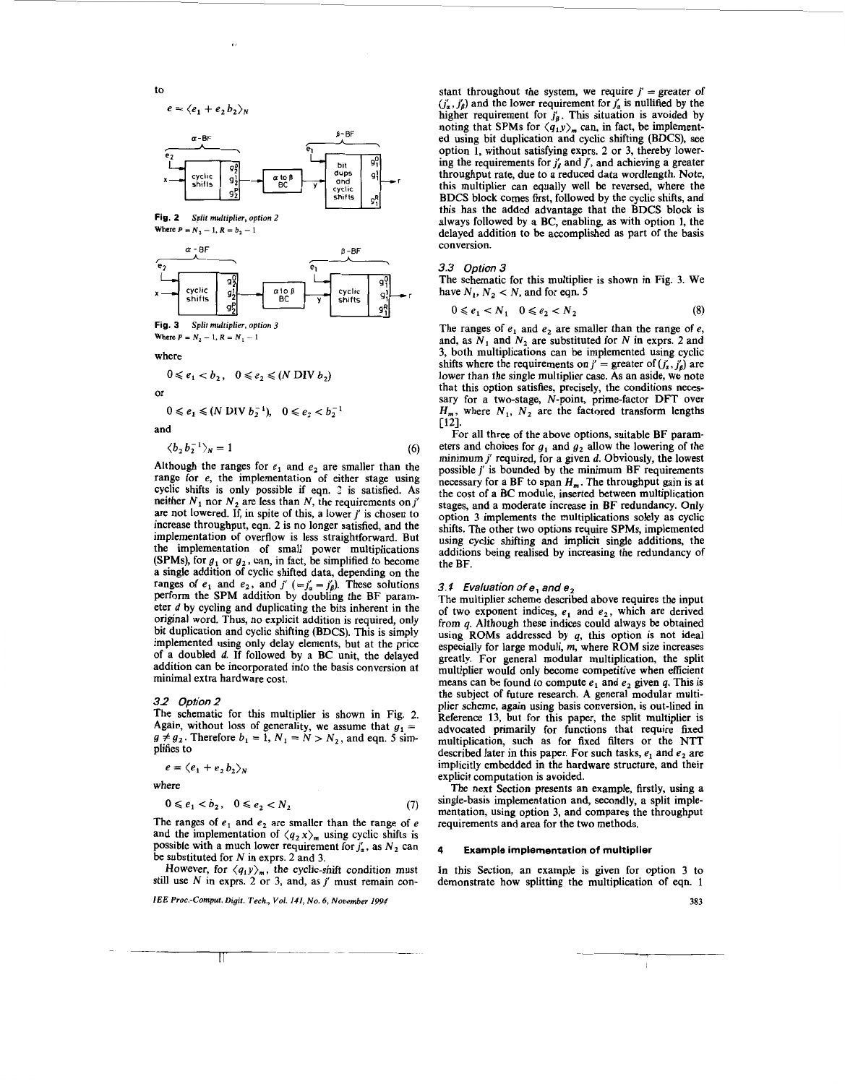to

$$
e = \langle e_1 + e_2 b_2 \rangle_N
$$



**Fig. 2 Split multiplier, option 2**  Where  $P = N_2 - 1$ ,  $R = b_2 - 1$ 





where

$$
0 \leq e_1 < b_2, \quad 0 \leq e_2 \leq (N \text{ DIV } b_2)
$$

or

$$
0 \leq e_1 \leq (N \text{ DIV } b_2^{-1}), \quad 0 \leq e_2 < b_2^{-1}
$$

and

$$
\langle b_2 b_2^{-1} \rangle_N = 1 \tag{6}
$$

Although the ranges for  $e_1$  and  $e_2$  are smaller than the range for  $e$ , the implementation of either stage using cyclic shifts is only possible if eqn. 2 is satisfied. As neither  $N_1$  nor  $N_2$  are less than N, the requirements on j' are not lowered. If, in spite of this, a lower  $j'$  is chosen to increase throughput, eqn. 2 is no longer satisfied, and the implementation of overflow is less straightforward. But the implementation of small power multiplications (SPMs), for  $g_1$  or  $g_2$ , can, in fact, be simplified to become a single addition of cyclic shifted data, depending on the ranges of  $e_1$  and  $e_2$ , and  $j'$  (= $j'_\alpha = j'_\beta$ ). These solutions perform the SPM addition by doubling the BF parameter d by cycling and duplicating the bits inherent in the original word. Thus, no explicit addition is required, only bit duplication and cyclic shifting (BDCS). This is simply implemented using only delay elements, but at the price of a doubled d. If followed by a BC unit, the delayed addition can be incorporated into the basis conversion at minimal extra hardware cost.

### 3.2 Option 2

The schematic for this multiplier is shown in Fig. 2. Again, without loss of generality, we assume that  $g_1 =$  $g \neq g_2$ . Therefore  $b_1 = 1$ ,  $N_1 = N > N_2$ , and eqn. 5 simplifies to

$$
e = \langle e_1 + e_2 b_2 \rangle_N
$$

where

$$
0 \leq e_1 < b_2, \quad 0 \leq e_2 < N_2 \tag{7}
$$

The ranges of  $e_1$  and  $e_2$  are smaller than the range of e and the implementation of  $\langle q_2 x \rangle_m$  using cyclic shifts is possible with a much lower requirement for  $j'_\alpha$ , as  $N_2$  can be substituted for N in exprs. 2 and 3.

However, for  $\langle q_1 y \rangle_m$ , the cyclic-shift condition must still use  $N$  in exprs. 2 or 3, and, as  $j'$  must remain con-

IEE Proc .- Comput. Digit. Tech., Vol. 141, No. 6, November 1994

stant throughout the system, we require  $j' =$  greater of  $(j'_\alpha, j'_\beta)$  and the lower requirement for  $j'_\alpha$  is nullified by the higher requirement for  $j'_\beta$ . This situation is avoided by noting that SPMs for  $\langle q_1 y \rangle_m$  can, in fact, be implemented using bit duplication and cyclic shifting (BDCS), see option 1, without satisfying exprs. 2 or 3, thereby lowering the requirements for  $j'_\beta$  and  $j'$ , and achieving a greater throughput rate, due to a reduced data wordlength. Note, this multiplier can equally well be reversed, where the BDCS block comes first, followed by the cyclic shifts, and this has the added advantage that the BDCS block is always followed by a BC, enabling, as with option 1, the delayed addition to be accomplished as part of the basis conversion.

### *3.3 Option 3*

The schematic for this multiplier is shown in Fig. 3. We have  $N_1$ ,  $N_2 < N$ , and for eqn. 5

$$
0 \leqslant e_1 < N_1 \quad 0 \leqslant e_2 < N_2 \tag{8}
$$

The ranges of  $e_1$  and  $e_2$  are smaller than the range of  $e_1$ , and, as  $N_1$  and  $N_2$  are substituted for N in exprs. 2 and 3, both multiplications can be implemented using cyclic shifts where the requirements on  $j' =$  greater of  $(j'_\alpha, j'_\beta)$  are lower than the single multiplier case. As an aside, we note that this option satisfies, precisely, the conditions necessary for a two-stage, N-point, prime-factor DFT over  $H_m$ , where  $N_1$ ,  $N_2$  are the factored transform lengths  $[12]$ .

For all three of the above options, suitable BF parameters and choices for  $g_1$  and  $g_2$  allow the lowering of the minimum *j'* required, for a given *d.* Obviously, the lowest possible  $j'$  is bounded by the minimum BF requirements necessary for a BF to span  $H_m$ . The throughput gain is at the cost of a BC module, inserted between multiplication stages, and a moderate increase in BF redundancy. Only option 3 implements the multiplications solely as cyclic shifts. The other two options require SPMs, implemented using cyclic shifting and implicit single additions, the additions being realised by increasing the redundancy of the BF.

### *3. f Evaluation of e, and e,*

The multiplier scheme described above requires the input of two exponent indices,  $e_1$  and  $e_2$ , which are derived from *q.* Although these indices could always be obtained using ROMs addressed by *q,* this option is not ideal especially for large moduli, *m*, where ROM size increases greatly. For general modular multiplication, the split multiplier would only become competitive when eficient means can be found to compute  $e_1$  and  $e_2$  given  $q$ . This is the subject of future research. A general modular multiplier scheme, again using basis conversion, is out-lined in Reference 13, but for this paper, the split multiplier is advocated primarily for functions that require fixed multiplication, such as for fixed filters or the NTT described later in this paper. For such tasks,  $e_1$  and  $e_2$  are implicitly embedded in the hardware structure, and their explicit computation is avoided.

The next Section presents an example, firstly, using a single-basis implementation and, secondly, a split implementation, using option 3, and compares the throughput requirements and area for the two methods.

### **4 Example implementation of multiplier**

In this Section, an example is given for option 3 to demonstrate how splitting the multiplication of eqn. 1

**383** 

-1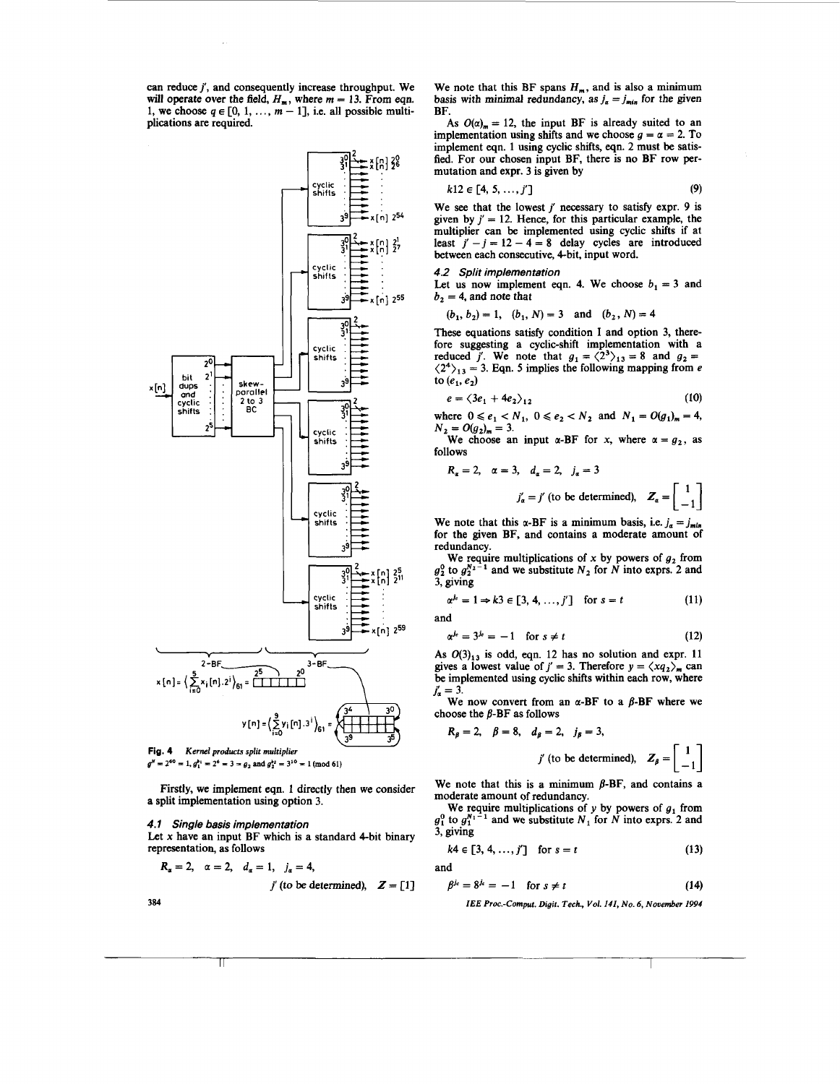can reduce *j',* and consequently increase throughput. We will operate over the field,  $H_m$ , where  $m = 13$ . From eqn. 1, we choose  $q \in [0, 1, \ldots, m-1]$ , i.e. all possible multiplications are required.



**Fig. 4**  *Kernel products split multiplier*   $g^N = 2^{60} = 1$ ,  $g_1^{b_1} = 2^6 = 3 = g_2$  and  $g_2^{b_2} = 3^{10} = 1$  (mod 61)

Firstly, we implement eqn. *1* directly then we consider a split implementation using option **3.** 

*4.1 Single basis implementation* 

Let  $x$  have an input BF which is a standard 4-bit binary representation, as follows

$$
R_{\alpha}=2, \quad \alpha=2, \quad d_{\alpha}=1, \quad j_{\alpha}=4,
$$

$$
j'(to be determined), Z = [1]
$$

**384** 

We note that this BF spans  $H<sub>m</sub>$ , and is also a minimum basis with minimal redundancy, as  $j_a = j_{min}$  for the given

BF.<br>As  $O(\alpha)$  = 12, the input BF is already suited to an implementation using shifts and we choose  $q = \alpha = 2$ . To implement eqn. **1** using cyclic shifts, eqn. **2** must be satisfied. For our chosen input BF, there is no BF row permutation and expr. 3 is given by

$$
k12 \in [4, 5, \ldots, j']
$$
 (9)

We see that the lowest *j'* necessary to satisfy expr. 9 is given by  $j' = 12$ . Hence, for this particular example, the multiplier can be implemented using cyclic shifts if at least  $i' - i = 12 - 4 = 8$  delay cycles are introduced between each consecutive, 4-bit, input word.

*4.2 Split implementation* 

Let us now implement eqn. 4. We choose  $b_1 = 3$  and  $b<sub>2</sub> = 4$ , and note that

$$
(b_1, b_2) = 1
$$
,  $(b_1, N) = 3$  and  $(b_2, N) = 4$ 

These equations satisfy condition I and option 3, therefore suggesting a cyclic-shift implementation with a reduced *j'*. We note that  $g_1 = \langle 2^3 \rangle_{13} = 8$  and  $g_2 =$  $\langle 2^4 \rangle_{13} = 3$ . Eqn. 5 implies the following mapping from e to  $(e_1, e_2)$ 

$$
e = \langle 3e_1 + 4e_2 \rangle_{12} \tag{10}
$$

where  $0 \le e_1 < N_1$ ,  $0 \le e_2 < N_2$  and  $N_1 = O(g_1)_m = 4$ ,  $N_2 = O(g_2)_{m} = 3.$ 

We choose an input  $\alpha$ -BF for x, where  $\alpha = g_2$ , as follows

$$
R_{\alpha} = 2, \quad \alpha = 3, \quad d_{\alpha} = 2, \quad j_{\alpha} = 3
$$
  

$$
j'_{\alpha} = j' \text{ (to be determined)}, \quad Z_{\alpha} = \begin{bmatrix} 1 \\ -1 \end{bmatrix}
$$

We note that this  $\alpha$ -BF is a minimum basis, i.e.  $j_{\alpha} = j_{\text{min}}$ for the given BF, and contains a moderate amount of redundancy.

We require multiplications of  $x$  by powers of  $g_2$  from  $g_2^0$  to  $g_2^{N_2-1}$  and we substitute  $N_2$  for N into exprs. 2 and **3,** giving

$$
\alpha^{j_c} = 1 \Rightarrow k3 \in [3, 4, \dots, j'] \quad \text{for } s = t \tag{11}
$$

and

$$
\alpha^{j_c} = 3^{j_c} = -1 \quad \text{for } s \neq t \tag{12}
$$

As  $O(3)_{13}$  is odd, eqn. 12 has no solution and expr. 11 gives a lowest value of  $j' = 3$ . Therefore  $y = \langle x q_2 \rangle_m$  can be implemented using cyclic shifts within each **row,** where  $j'_{\alpha} = 3.$ 

We now convert from an  $\alpha$ -BF to a  $\beta$ -BF where we choose the  $\beta$ -BF as follows

$$
R_{\beta} = 2
$$
,  $\beta = 8$ ,  $d_{\beta} = 2$ ,  $j_{\beta} = 3$ ,  
 $j'$  (to be determined),  $Z_{\beta} = \begin{bmatrix} 1 \\ -1 \end{bmatrix}$ 

We note that this is a minimum  $\beta$ -BF, and contains a moderate amount of redundancy.

We require multiplications of y by powers of  $g_1$  from  $g_1^0$  to  $g_1^{N_1-1}$  and we substitute  $N_1$  for N into exprs. 2 and 3, giving

$$
k4 \in [3, 4, ..., j']
$$
 for  $s = t$  (13)

and

$$
\beta^{j_c} = 8^{j_c} = -1 \quad \text{for } s \neq t \tag{14}
$$

*IEE Proc.-Comput. Digit. Tech., Vol. 141, No. 6, November 1994*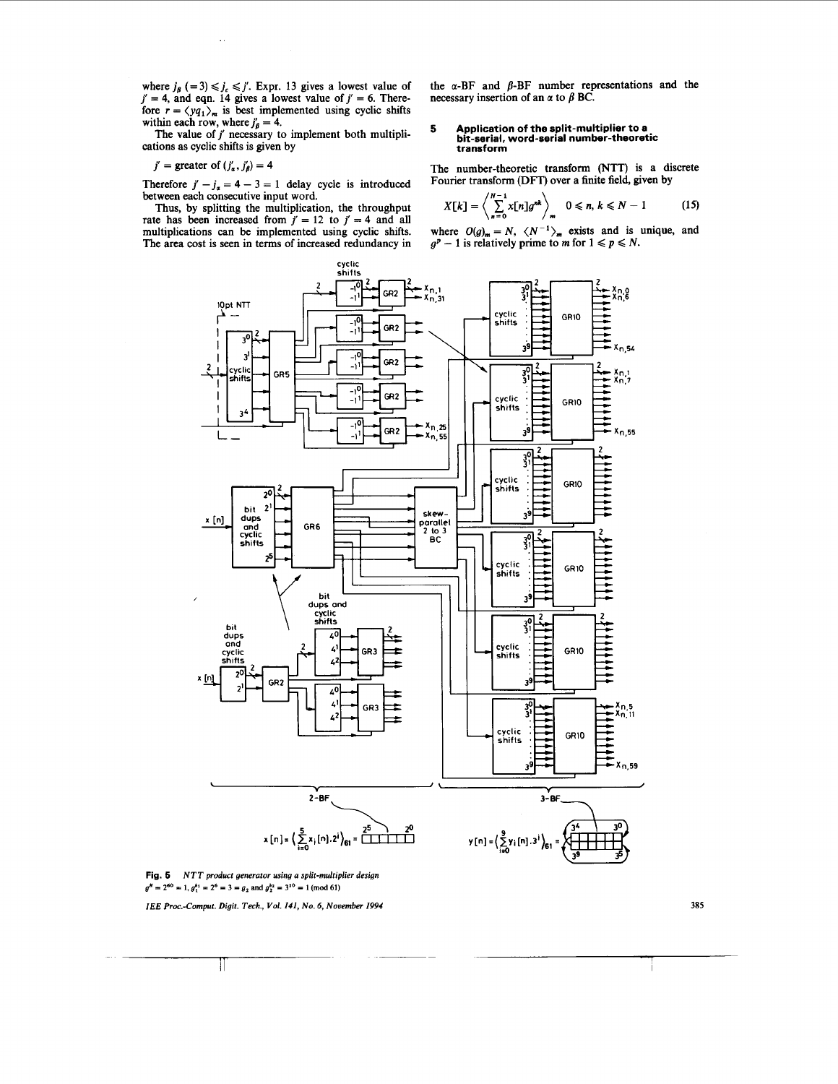<span id="page-4-0"></span>where  $j_\beta$  (= 3)  $\leq j_c \leq j'$ . Expr. 13 gives a lowest value of  $j' = 4$ , and eqn. 14 gives a lowest value of  $j' = 6$ . Therefore  $r = \langle yq_1 \rangle_m$  is best implemented using cyclic shifts within each row, where  $j'_{\beta} = 4$ .

The value of  $j'$  necessary to implement both multiplications as cyclic shifts is given by

 $j'$  = greater of  $(j'_\alpha, j'_\beta) = 4$ 

Therefore  $j' - j_a = 4 - 3 = 1$  delay cycle is introduced between each consecutive input word.

Thus, by splitting the multiplication, the throughput rate has been increased from  $j' = 12$  to  $j' = 4$  and all multiplications **can** be implemented using cyclic shifts. The area cost is seen in terms of increased redundancy in the **a-BF** and **b-BF** number representations and the necessary insertion of an  $\alpha$  to  $\beta$  BC.

# **5 Application of the split-multiplier to a bit-serial, word-serial number-theoretic transform**

The number-theoretic transform **(NTT)** is a discrete Fourier transform (DFT) over a finite field, given by

$$
X[k] = \left\langle \sum_{n=0}^{N-1} x[n]g^{nk} \right\rangle_m \quad 0 \le n, \, k \le N-1 \tag{15}
$$

where  $O(g)_m = N$ ,  $\langle N^{-1} \rangle_m$  exists and is unique, and  $g^p - 1$  is relatively prime to *m* for  $1 \leq p \leq N$ .



**Fig. 6**  *NTT product generator using a split-multiplier design*  **rig. 5** *N11 product generator using a sput-muttip*<br> $g^N = 2^{60} = 1$ ,  $g_1^{b_1} = 2^6 = 3 = g_2$  and  $g_2^{b_2} = 3^{10} = 1 \pmod{61}$ 

 $\mathbb{I}$ 

*IEE Proc .-Cornput. Digit. Tech., Vol. 141, No. 6, November 1994* **385**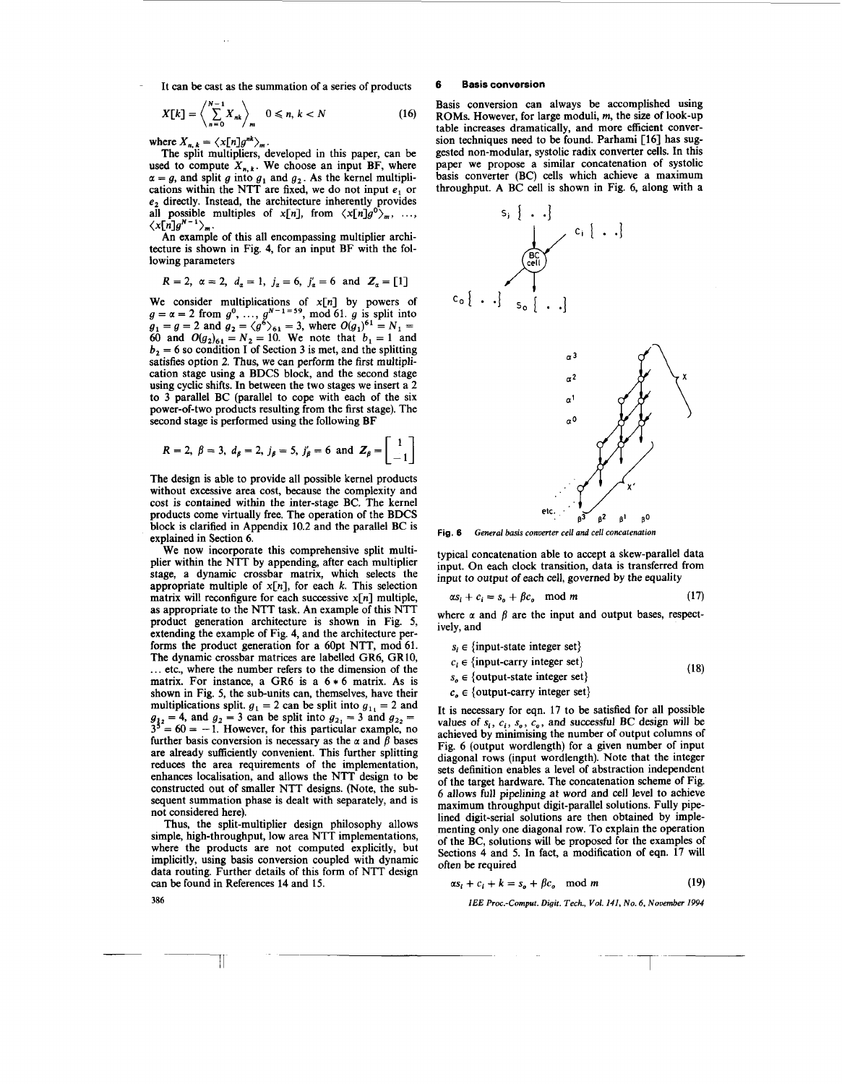It can be cast as the summation of a series of products

$$
X[k] = \left\langle \sum_{n=0}^{N-1} X_{nk} \right\rangle_m \quad 0 \leq n, k < N \tag{16}
$$

 $\mathbf{r}$ 

where  $X_{n,k} = \langle x[n]g^{nk}\rangle_m$ .<br>The split multipliers, developed in this paper, can be used to compute  $X_{n,k}$ . We choose an input BF, where  $\alpha = g$ , and split g into  $g_1$  and  $g_2$ . As the kernel multiplications within the NTT are fixed, we do not input **e,** or **e,** directly. Instead, the architecture inherently provides all possible multiples of  $x[n]$ , from  $\langle x[n]g^{0}\rangle_m$ , ...,  $\langle x[n]g^{n-1}\rangle_m$ .

An example of this all encompassing multiplier architecture is shown in Fig. **4,** for an input BF with the following parameters

$$
R = 2
$$
,  $\alpha = 2$ ,  $d_{\alpha} = 1$ ,  $j_{\alpha} = 6$ ,  $j'_{\alpha} = 6$  and  $Z_{\alpha} = [1]$ 

We consider multiplications of  $x[n]$  by powers of  $g = \alpha = 2$  from  $g^0$ , ...,  $g^{N-1}=59$ , mod 61.  $g$  is split into  $g_1 = g = 2$  and  $g_2 = \langle g^6 \rangle_{61} = 3$ , where  $O(g_1)^{61} = N_1 = 1$ 60 and  $O(g_2)_{61} = N_2 = 10$ . We note that  $b_1 = 1$  and  $b<sub>2</sub> = 6$  so condition I of Section 3 is met, and the splitting satisfies option 2. Thus, we can perform the first multiplication stage using a BDCS block, and the second stage using cyclic shifts. In between the two stages we insert a 2 to 3 parallel BC (parallel to cope with each of the six power-of-two products resulting from the first stage). The second stage is performed using the following BF

$$
R = 2
$$
,  $\beta = 3$ ,  $d_{\beta} = 2$ ,  $j_{\beta} = 5$ ,  $j'_{\beta} = 6$  and  $Z_{\beta} = \begin{bmatrix} 1 \\ -1 \end{bmatrix}$ 

The design is able to provide all possible kernel products without excessive area cost, because the complexity and cost is contained within the inter-stage BC. The kernel products come virtually free. The operation of the BDCS block is clarified in Appendix 10.2 and the parallel BC is explained in Section 6.

We now incorporate this comprehensive split multiplier within the NTT by appending, after each multiplier stage, a dynamic crossbar matrix, which selects the appropriate multiple of  $x[n]$ , for each  $k$ . This selection matrix will reconfigure for each successive **x[n]** multiple, as appropriate to the NTT task. An example of this NTT product generation architecture is shown in Fig. *5,*  extending the example of Fig. 4, and the architecture performs the product generation for a 60pt NTT, mod **61.**  The dynamic crossbar matrices are labelled GR6, **GR10,**  ... etc., where the number refers to the dimension of the matrix. For instance, a GR6 is a  $6 * 6$  matrix. As is shown in Fig. *5,* the sub-units can, themselves, have their multiplications split.  $g_1 = 2$  can be split into  $g_{11} = 2$  and  $g_{12} = 4$ , and  $g_2 = 3$  can be split into  $g_{21} = 3$  and  $g_{22} = 3^{3} = 60 = -1$ . However, for this particular example, no further basis conversion is necessary as the  $\alpha$  and  $\beta$  bases are already sufficiently convenient. This further splitting reduces the area requirements of the implementation, enhances localisation, and allows the NTT design to be constructed out of smaller NTT designs. (Note, the subsequent summation phase is dealt with separately, and is not considered here).

Thus, the split-multiplier design philosophy allows simple, high-throughput, low area NTT implementations, where the products are not computed explicitly, but implicitly, using basis conversion coupled with dynamic data routing. Further details of this form of NTT design can be found in References 14 and **15.** 

### **6 Basis conversion**

Basis conversion can always be accomplished using ROMs. However, for large moduli, *m*, the size of look-up table increases dramatically, and more efficient conversion techniques need to be found. Parhami **[16]** has suggested non-modular, systolic radix converter cells. In this paper we propose a similar concatenation of systolic basis converter (BC) cells which achieve a maximum throughput. A BC cell is shown in Fig. 6, along with a



**[Fig.](#page-4-0) 6** *General basis Converter cell* **and** *cell concutenution* 

typical concatenation able to accept a skew-parallel data input. On each clock transition, data is transferred from input to output of each cell, governed by the equality

$$
\alpha s_i + c_i = s_o + \beta c_o \mod m \tag{17}
$$

where  $\alpha$  and  $\beta$  are the input and output bases, respectively, and

 $s_i \in \{ \text{input-state integer set} \}$ 

$$
c_i \in \{\text{input-carry integer set}\}\tag{18}
$$

- $s_o \in \{$ output-state integer set $\}$
- $c<sub>o</sub> \in$  {output-carry integer set}

It is necessary for eqn. **17** to be satisfied for all possible values of  $s_i$ ,  $c_i$ ,  $s_a$ ,  $c_a$ , and successful BC design will be achieved by minimising the number of output columns of [Fig. 6](#page-4-0) (output wordlength) for a given number of input diagonal rows (input wordlength). Note that the integer sets definition enables a level of abstraction independent of the target hardware. The concatenation scheme of [Fig.](#page-4-0) [6](#page-4-0) allows full pipelining at word and cell level to achieve maximum throughput digit-parallel solutions. Fully pipelined digit-serial solutions are then obtained by implementing only one diagonal row. To explain the operation of the BC, solutions will be proposed for the examples of Sections **4** and **5.** In fact, a modification of eqn. **17** will often **be** required

$$
\alpha s_i + c_i + k = s_o + \beta c_o \mod m \tag{19}
$$

*IEE Proc.-Comput. Digit. Tech., Vol. 141, No. 6, Nouember 1994* 

**386** 

Ш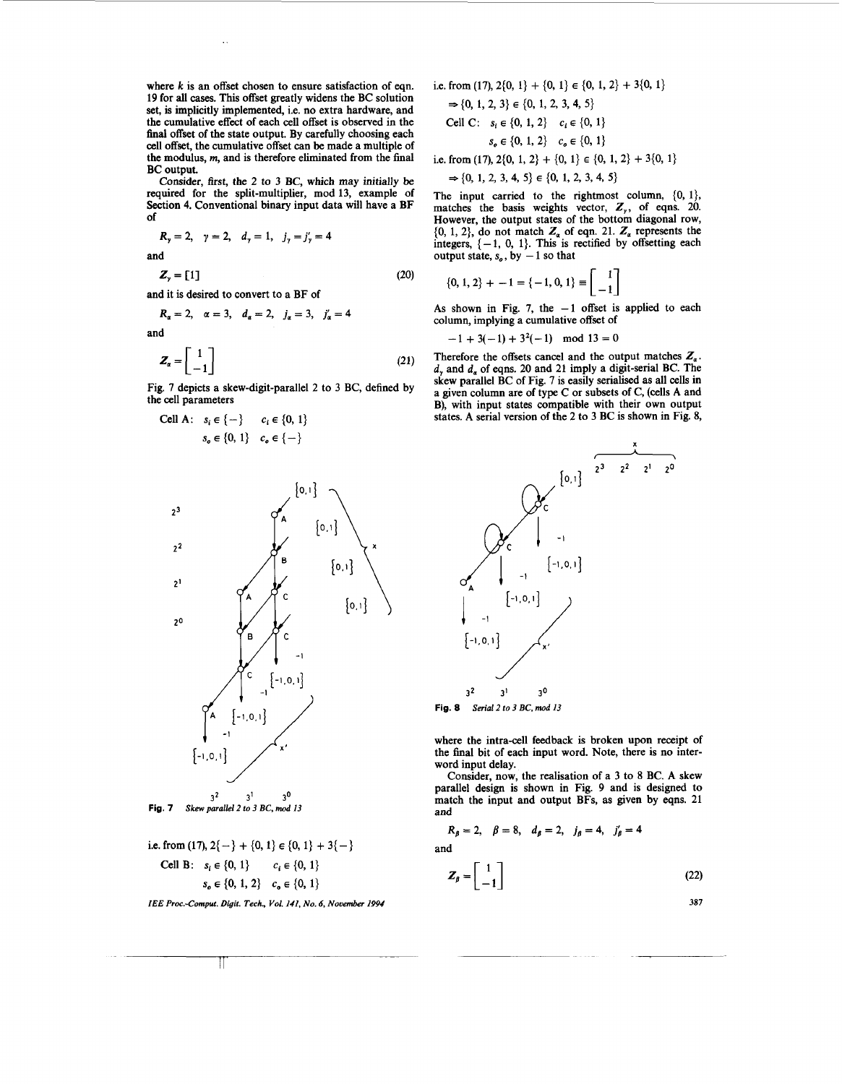where *k* is an offset chosen to ensure satisfaction of eqn. **19** for all cases. This offset greatly widens the BC solution set, is implicitly implemented, i.e. **no** extra hardware, and the cumulative effect of each cell offset is observed in the final offset of the state output. By carefully choosing each cell offset, the cumulative offset can be made a multiple of the modulus, **m,** and is therefore eliminated from the final BC output.

Consider, first, the 2 to 3 **BC,** which may initially be required for the split-multiplier, mod 13, example of Section 4. Conventional binary input data will have a BF of

$$
R_y = 2, \quad \gamma = 2, \quad d_y = 1, \quad j_y = j'_y = 4
$$
  
and  
 $Z_y = [1]$  (20)

and it is desired to convert to a BF of

$$
R_{\alpha} = 2, \alpha = 3, d_{\alpha} = 2, j_{\alpha} = 3, j_{\alpha}' = 4
$$

and

$$
Z_{\alpha} = \begin{bmatrix} 1 \\ -1 \end{bmatrix} \tag{21}
$$

Fig. 7 depicts a skew-digit-parallel 2 to 3 BC, defined by

the cell parameters  
\nCell A: 
$$
s_i \in \{-\}
$$
  $c_i \in \{0, 1\}$   
\n $s_o \in \{0, 1\}$   $c_o \in \{-\}$ 



i.e. from (17), 
$$
2\{-\} + \{0, 1\} \in \{0, 1\} + 3\{-\}
$$
  
\nCell B:  $s_i \in \{0, 1\}$   $c_i \in \{0, 1\}$   
\n $s_o \in \{0, 1, 2\}$   $c_o \in \{0, 1\}$ 

*IEE Proc.-Comput. Digit. Tech., Vol. 141, No. 6, Nouenrber 1994* 

i.e. from (17), 
$$
2{0, 1} + {0, 1} \in {0, 1, 2} + 3{0, 1}
$$

$$
\Rightarrow \{0, 1, 2, 3\} \in \{0, 1, 2, 3, 4, 5\}
$$
  
Cell C:  $s_i \in \{0, 1, 2\}$   $c_i \in \{0, 1\}$   
 $s_o \in \{0, 1, 2\}$   $c_o \in \{0, 1\}$ 

i.e. from (17),  $2\{0, 1, 2\} + \{0, 1\} \in \{0, 1, 2\} + 3\{0, 1\}$ 

$$
\Rightarrow \{0, 1, 2, 3, 4, 5\} \in \{0, 1, 2, 3, 4, 5\}
$$

The input carried to the rightmost column,  $\{0, 1\}$ , matches the basis weights vector,  $Z_{y}$ , of eqns. 20. However, the output states of the bottom diagonal row,  $\{0, 1, 2\}$ , do not match  $Z_a$  of eqn. 21.  $Z_a$  represents the integers,  $\{-1, 0, 1\}$ . This is rectified by offsetting each integers,  $\{-1, 0, 1\}$ . This is r<br>output state,  $s_o$ , by  $-1$  so that

$$
\{0, 1, 2\} + -1 = \{-1, 0, 1\} \equiv \begin{bmatrix} 1 \\ -1 \end{bmatrix}
$$

As shown in Fig. 7, the  $-1$  offset is applied to each column, implying a cumulative offset of

$$
-1 + 3(-1) + 32(-1) \mod 13 = 0
$$

Therefore the offsets cancel and the output matches  $Z_a$ . *d,* and d, of eqns. 20 and 21 imply a digit-serial BC. The skew parallel BC of Fig. 7 is easily serialised as all cells in a given column are of type C or subsets of C, (cells A and B), with input states compatible with their own output states. A serial version of the 2 to 3 BC is shown in Fig. 8,



where the intra-cell feedback is broken upon receipt of the final bit of each input word. Note, there is **no** interword input delay.

Consider, now, the realisation of a 3 to 8 BC. A skew parallel design is shown in Fig. 9 and is designed to match the input and output BFs, as given by eqns. 21 and

$$
R_{\beta} = 2
$$
,  $\beta = 8$ ,  $d_{\beta} = 2$ ,  $j_{\beta} = 4$ ,  $j'_{\beta} = 4$ 

and

$$
Z_{\beta} = \begin{bmatrix} 1 \\ -1 \end{bmatrix} \tag{22}
$$

 $\mathbb{I}$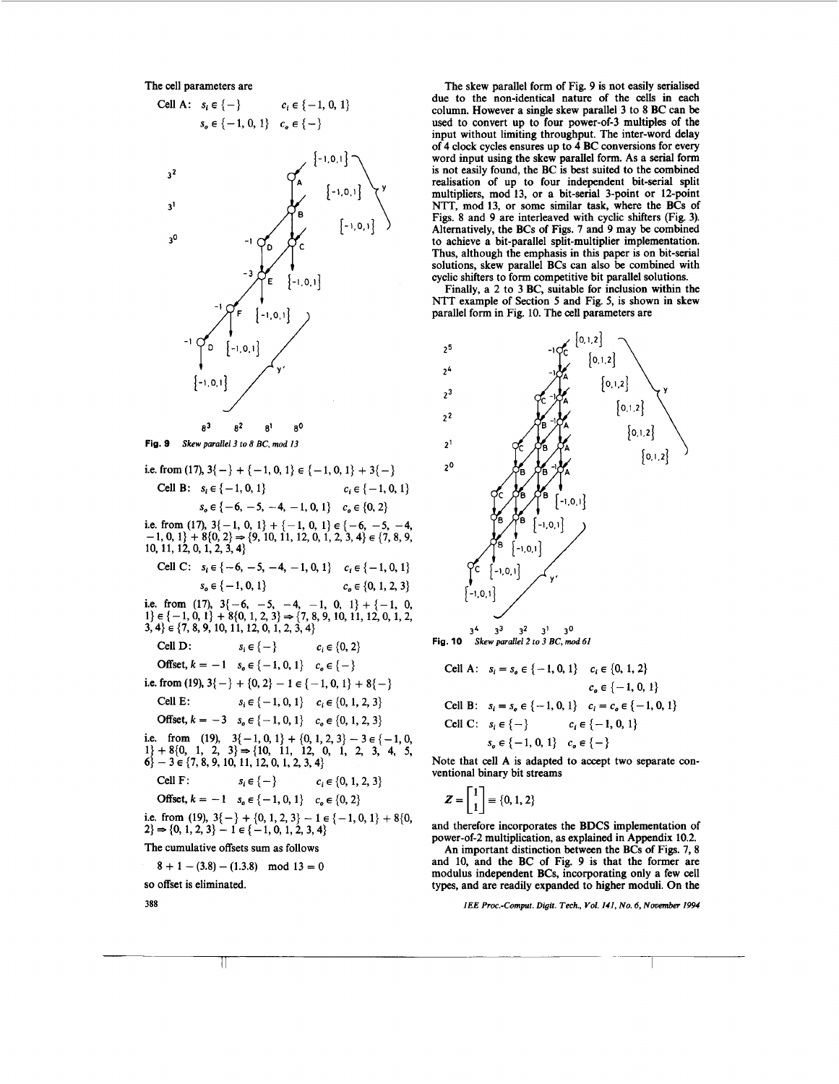

The skew parallel form of Fig. 9 is not easily serialised due to the non-identical nature of the cells in each column. However a single skew parallel 3 to 8 BC can be used to convert up to four power-of-3 multiples of the input without limiting throughput. The inter-word delay of 4 clock cycles ensures up to 4 BC conversions for every word input using the skew parallel form. As a serial form is not easily found, the BC is best suited to the combined realisation of up to four independent bit-serial split multipliers, mod 13, or a bit-serial 3-point or 12-point NTT, mod 13, or some similar task, where the BCs of Figs. 8 and 9 are interleaved with cyclic shifters (Fig. 3). Alternatively, the BCs of Figs. 7 and 9 may be combined to achieve a bit-parallel split-multiplier implementation. Thus, although the emphasis in this paper is **on** bit-serial solutions, skew parallel BCs can also be combined with cyclic shifters to form competitive bit parallel solutions.

Finally, a 2 to 3 BC, suitable for inclusion within the NTT example of Section *5* and Fig. 5, is shown in skew parallel form in Fig. 10. The cell parameters are



**Fig. 10** *Skew pmallel2 to 3 BC, mod 61* 

Cell A: 
$$
s_i = s_o \in \{-1, 0, 1\}
$$
  $c_i \in \{0, 1, 2\}$   
\n $c_o \in \{-1, 0, 1\}$   
\nCell B:  $s_i = s_o \in \{-1, 0, 1\}$   $c_i = c_o \in \{-1, 0, 1\}$   
\nCell C:  $s_i \in \{-\}$   $c_i \in \{-1, 0, 1\}$   
\n $s_o \in \{-1, 0, 1\}$   $c_o \in \{-\}$ 

Note that cell A is adapted to accept two separate conventional binary bit streams

$$
Z=\begin{bmatrix}1\\1\end{bmatrix}\equiv\{0,1,2\}
$$

and therefore incorporates the BDCS implementation of power-of-2 multiplication, as explained in Appendix 10.2.

An important distinction between the BCs of Figs. 7, 8 and 10, and the BC of Fig. 9 is that the former are modulus independent BCs, incorporating only a few cell types, and are readily expanded to higher moduli. On the

*IEE Proc.-Comput. Digit. Tech., Vol. Ill, No. 6, November 1994*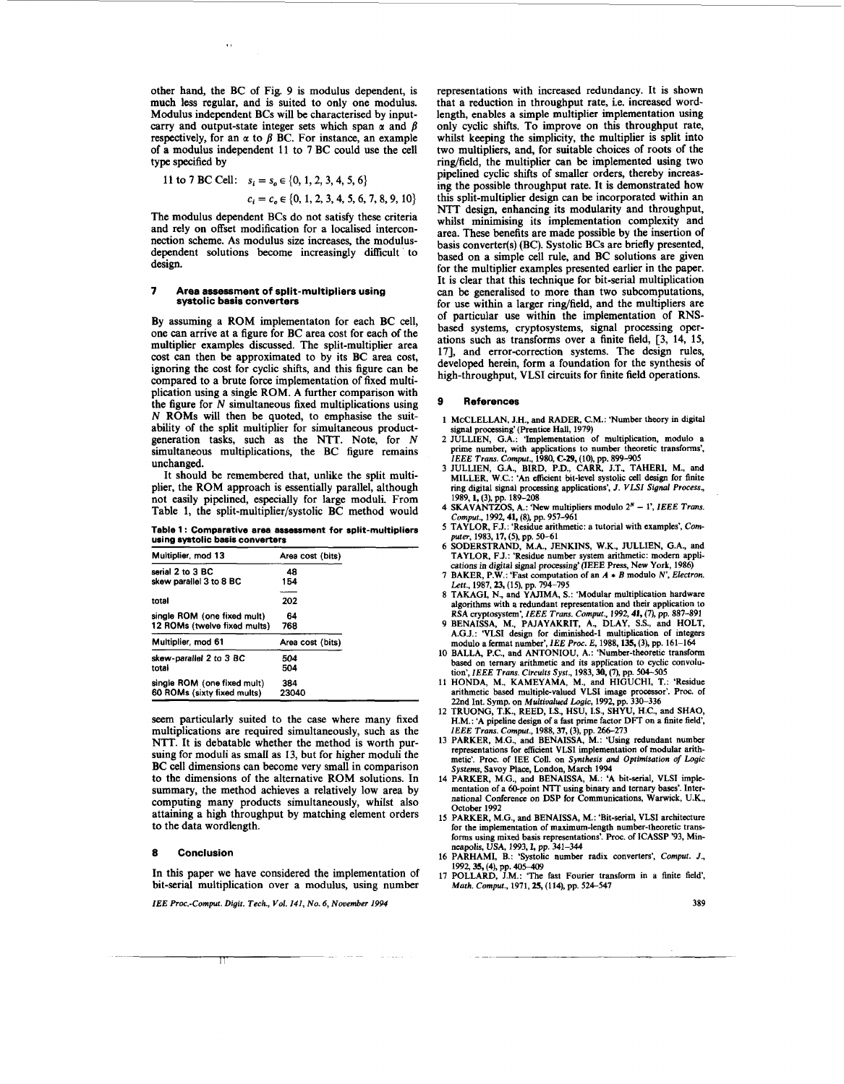other hand, the **BC** of Fig. **9** is modulus dependent, is much less regular, and is suited to only one modulus. Modulus independent **BCs** will be characterised by inputcarry and output-state integer sets which span  $\alpha$  and  $\beta$ respectively, for an  $\alpha$  to  $\beta$  **BC**. For instance, an example of a modulus independent 11 to **7 BC** could use the cell type specified by

 $\bar{\mathbf{r}}$  :

11 to 7 BC Cell: 
$$
s_i = s_o \in \{0, 1, 2, 3, 4, 5, 6\}
$$
  
 $c_i = c_o \in \{0, 1, 2, 3, 4, 5, 6, 7, 8, 9, 10\}$ 

The modulus dependent **BCs** do not satisfy these criteria and rely on offset modification for a localised interconnection scheme. As modulus size increases, the modulusdependent solutions become increasingly difficult to design.

#### **7 Area assessment of split-multipliers using systolic basis converters**

By assuming a ROM implementaton for each **BC** cell, one can arrive at a figure for **BC** area cost for each of the multiplier examples discussed. The split-multiplier area cost can then be approximated to by its **BC** area cost, ignoring the cost for cyclic shifts, and this figure **can** be compared to a brute force implementation of fixed multiplication using a single ROM. A further comparison with the figure for *N* simultaneous fixed multiplications using *N* ROMs will then be quoted, to emphasise the suitability of the split multiplier for simultaneous productgeneration tasks, such as the NTT. Note, for *N*  simultaneous multiplications, the **BC** figure remains unchanged.

It should be remembered that, unlike the split multiplier, the ROM approach is essentially parallel, although not easily pipelined, especially for large moduli. From Table 1, the **split-multiplier/systolic BC** method would

**Table 1** : **Comparative area assessment for split-multipliers using systolic basis convertars** 

| Multiplier, mod 13           | Area cost (bits) |
|------------------------------|------------------|
| serial 2 to 3 BC             | 48               |
| skew parallel 3 to 8 BC      | 154              |
| total                        | 202              |
|                              |                  |
| single ROM (one fixed mult)  | 64               |
| 12 ROMs (twelve fixed mults) | 768              |
| Multiplier, mod 61           | Area cost (bits) |
| skew-parallel 2 to 3 BC      | 504              |
| total                        | 504              |
| single ROM (one fixed mult)  | 384              |
| 60 ROMs (sixty fixed mults)  | 23040            |

seem particularly suited to the case where many fixed multiplications are required simultaneously, such as the NTT. It is debatable whether the method is worth pursuing for moduli as small as 13, but for higher moduli the **BC** cell dimensions can become very small in comparison to the dimensions of the alternative ROM solutions. In summary, the method achieves a relatively low area by computing many products simultaneously, whilst also attaining a high throughput by matching element orders to the data wordlength.

### **8 Conclusion**

In this paper we have considered the implementation of bit-serial multiplication over a modulus, using number

*IEE Proc.-Cornput. Digit. Tech., Vol. 141, No. 6, November I994* 

representations with increased redundancy. It is shown that a reduction in throughput rate, i.e. increased wordlength, enables a simple multiplier implementation using only cyclic shifts. To improve **on** this throughput rate, whilst keeping the simplicity, the multiplier is split into two multipliers, and, for suitable choices of roots of the ring/field, the multiplier can be implemented using two pipelined cyclic shifts of smaller orders, thereby increasing the possible throughput rate. It is demonstrated how this split-multiplier design can be incorporated within an NTT design, enhancing its modularity and throughput, whilst minimising its implementation complexity and area. These benefits are made possible by the insertion of basis converter(s) (BC). Systolic BCs are briefly presented, based **on** a simple cell rule, and **BC** solutions are given for the multiplier examples presented earlier in the paper. It is clear that this technique for bit-serial multiplication can be generalised to more than two subcomputations, for use within a larger ring/field, and the multipliers are of particular use within the implementation of RNSbased systems, cryptosystems, signal processing operations such as transforms over a finite field, [3, 14, **15, 171,** and error-correction systems. The design rules, developed herein, form a foundation for the synthesis of high-throughput, VLSI circuits for finite field operations.

### **9 References**

- **1** McCLELLAN, J.H., and RADER, C.M.: 'Number theory in digital signal processing' (Prentice Hall, **1979)**
- **2** JULLIEN, G.A.: 'Implementation of multiplication, modulo a prime number, with applications to number theoretic transforms',
- IEEE Trans. Comput., 1980, C-29, (10), pp. 899-905<br>3 JULLIEN, G.A., BIRD, P.D., CARR, J.T., TAHERI, M., and<br>MILLER, W.C.: 'An efficient bit-level systolic cell design for finite ring digital signal processing applications', J. VLSI Signal Process.,
- **1989.1, (3).** pp. **189-208 <sup>4</sup>**SKAVANTZOS, A.: 'New multipliers modulo **2N 1'.** *IEEE Trans. Cornput.,* **1992 41,** *(8).* pp. **957-961**
- **5** TAYLOR, F.J.: 'Residue arithmetic: a tutorial with examples', *Com-puter,* **1983,17,** *(9,* pp. **50-61 6** SODERSTRAND, M.A., JENKINS, W.K., JULLIEN, G.A., and
- TAYLOR, F.J.: 'Residue number system arithmetic: modern applications in digital signal processing' (IEEE Press, New York, 1986)<br>7 BAKER, P.W.: 'Fast computation of an  $A * B$  modulo N', Electron.
- 
- 8 TAKAGI, N., and YAJIMA, S.: 'Modular multiplication hardware *Lett.,* **1987,23, (15),** pp. **794-795**  algorithms with a redundant representation and their application to
- RSA cryptosystem', IEEE Trans. Comput., 1992, 41, (7), pp. 887-891<br>9 BENAISSA, M., PAJAYAKRIT, A., DLAY, S.S., and HOLT,<br>A.G.J.: 'VLSI design for diminished-1 multiplication of integers modulo a fermat number', *IEE Proc. E,* **1988,135, (3).** pp. **161-164**
- **10** BALLA, P.C., and ANTONIOU, A.: 'Number-theoretic transform based on ternary arithmetic and its application to cyclic convolution', *IEEE Trans. Circuits Syst.,* **1983.30,** *(7),* pp. **504-505**
- **11** HONDA, M., KAMEYAMA, M., and HIGUCHI, **T.:** 'Residue arithmetic based multiple-valued VLSI image processor'. Proc. of **22nd** Int. Symp. on *Multivalued Logic,* **1992,** pp. **330-336**
- **12** TRUONG, T.K., REED, **LS.,** HSU, **IS.,** SHYU, H.C., and SHAO, H.M.: 'A pipeline design of a fast prime factor DFT on a finite field',
- *IEEE Trans. Cornput.,* **1988,37, (3),** pp. **266-273 13** PARKER, M.G., **and** BENAISSA, M.: 'Using redundant number representations for efficient VLSI implementation of modular arithmetic'. Proc. of IEE Coll. on *Synthesis* **and** *Optirnisation of Logic Systems,* Savoy Place, London, March **1994**
- **14** PARKER, M.G., and BENAISSA, M.: 'A bit-serial, VLSI implementation of a 60-point NTT using binary and ternary bases'. International Conference on DSP for communications, Warwick, U.K., October **1992**
- **15** PARKER, M.G., and BENAISSA, M.: 'Bit-serial, VLSI architecture for the implementation of maximum-length number-theoretic transforms using mixed basis representations'. **Roc.** of ICASSP **'93,** Minneapolis, USA, **1993,** I, pp. **341-344**
- **16** PARHAMI, B.: 'Systolic number radix converters', *Cornput. J.,*  1992, **15, (4), pp. 405-409**<br> **17 POLLARD, J.M.: 'The fast Fourier transform in a finite field', 1992, <b>35**, **(4)**, **pp.** 405-409
- *Math. Cornput.,* **1971.25, (114),** pp. **52&547**

**389**